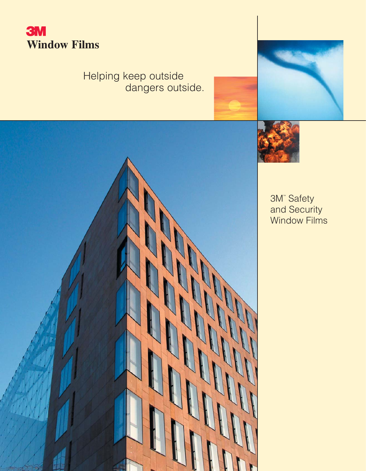

# Helping keep outside dangers outside.





3M™ Safety and Security Window Films

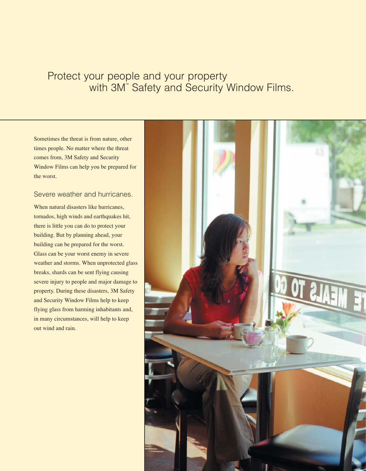## Protect your people and your property with 3M™ Safety and Security Window Films.

Sometimes the threat is from nature, other times people. No matter where the threat comes from, 3M Safety and Security Window Films can help you be prepared for the worst.

#### Severe weather and hurricanes.

When natural disasters like hurricanes, tornados, high winds and earthquakes hit, there is little you can do to protect your building. But by planning ahead, your building can be prepared for the worst. Glass can be your worst enemy in severe weather and storms. When unprotected glass breaks, shards can be sent flying causing severe injury to people and major damage to property. During these disasters, 3M Safety and Security Window Films help to keep flying glass from harming inhabitants and, in many circumstances, will help to keep out wind and rain.

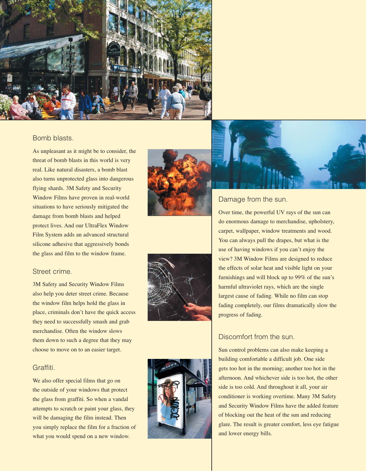

#### Bomb blasts.

As unpleasant as it might be to consider, the threat of bomb blasts in this world is very real. Like natural disasters, a bomb blast also turns unprotected glass into dangerous flying shards. 3M Safety and Security Window Films have proven in real-world situations to have seriously mitigated the damage from bomb blasts and helped protect lives. And our UltraFlex Window Film System adds an advanced structural silicone adhesive that aggressively bonds the glass and film to the window frame.

#### Street crime .

3M Safety and Security Window Films also help you deter street crime. Because the window film helps hold the glass in place, criminals don't have the quick access they need to successfully smash and grab merchandise. Often the window slows them down to such a degree that they may choose to move on to an easier target.

#### Graffiti.

We also offer special films that go on the outside of your windows that protect the glass from graffiti. So when a vandal attempts to scratch or paint your glass, they will be damaging the film instead. Then you simply replace the film for a fraction of what you would spend on a new window.









#### Damage from the sun.

Over time, the powerful UV rays of the sun can do enormous damage to merchandise, upholstery, carpet, wallpaper, window treatments and wood. You can always pull the drapes, but what is the use of having windows if you can't enjoy the view? 3M Window Films are designed to reduce the effects of solar heat and visible light on your furnishings and will block up to 99% of the sun's harmful ultraviolet rays, which are the single largest cause of fading. While no film can stop fading completely, our films dramatically slow the progress of fading.

#### Discomfort from the sun.

Sun control problems can also make keeping a building comfortable a difficult job. One side gets too hot in the morning; another too hot in the afternoon. And whichever side is too hot, the other side is too cold. And throughout it all, your air conditioner is working overtime. Many 3M Safety and Security Window Films have the added feature of blocking out the heat of the sun and reducing glare. The result is greater comfort, less eye fatigue and lower energy bills.